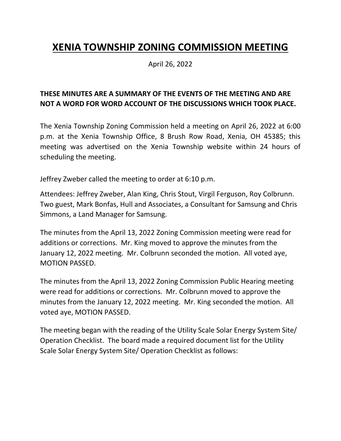## **XENIA TOWNSHIP ZONING COMMISSION MEETING**

April 26, 2022

## **THESE MINUTES ARE A SUMMARY OF THE EVENTS OF THE MEETING AND ARE NOT A WORD FOR WORD ACCOUNT OF THE DISCUSSIONS WHICH TOOK PLACE.**

The Xenia Township Zoning Commission held a meeting on April 26, 2022 at 6:00 p.m. at the Xenia Township Office, 8 Brush Row Road, Xenia, OH 45385; this meeting was advertised on the Xenia Township website within 24 hours of scheduling the meeting.

Jeffrey Zweber called the meeting to order at 6:10 p.m.

Attendees: Jeffrey Zweber, Alan King, Chris Stout, Virgil Ferguson, Roy Colbrunn. Two guest, Mark Bonfas, Hull and Associates, a Consultant for Samsung and Chris Simmons, a Land Manager for Samsung.

The minutes from the April 13, 2022 Zoning Commission meeting were read for additions or corrections. Mr. King moved to approve the minutes from the January 12, 2022 meeting. Mr. Colbrunn seconded the motion. All voted aye, MOTION PASSED.

The minutes from the April 13, 2022 Zoning Commission Public Hearing meeting were read for additions or corrections. Mr. Colbrunn moved to approve the minutes from the January 12, 2022 meeting. Mr. King seconded the motion. All voted aye, MOTION PASSED.

The meeting began with the reading of the Utility Scale Solar Energy System Site/ Operation Checklist. The board made a required document list for the Utility Scale Solar Energy System Site/ Operation Checklist as follows: